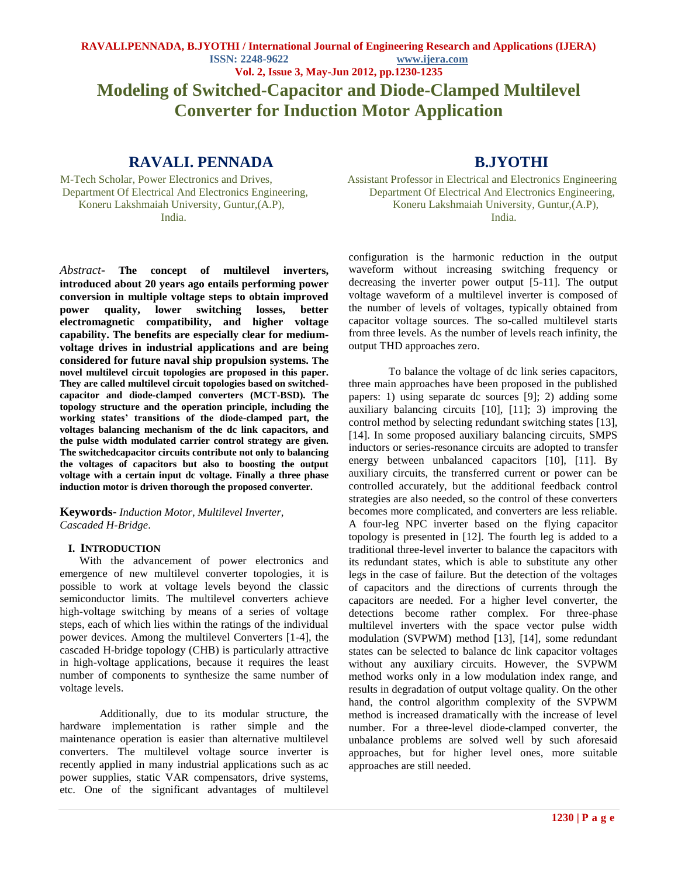**Modeling of Switched-Capacitor and Diode-Clamped Multilevel Converter for Induction Motor Application**

# **RAVALI. PENNADA B.JYOTHI**

*Abstract*- **The concept of multilevel inverters, introduced about 20 years ago entails performing power conversion in multiple voltage steps to obtain improved power quality, lower switching losses, better electromagnetic compatibility, and higher voltage capability. The benefits are especially clear for mediumvoltage drives in industrial applications and are being considered for future naval ship propulsion systems. The novel multilevel circuit topologies are proposed in this paper. They are called multilevel circuit topologies based on switchedcapacitor and diode-clamped converters (MCT-BSD). The topology structure and the operation principle, including the working states' transitions of the diode-clamped part, the voltages balancing mechanism of the dc link capacitors, and the pulse width modulated carrier control strategy are given. The switchedcapacitor circuits contribute not only to balancing the voltages of capacitors but also to boosting the output voltage with a certain input dc voltage. Finally a three phase induction motor is driven thorough the proposed converter.**

**Keywords-** *Induction Motor, Multilevel Inverter, Cascaded H-Bridge*.

## **I. INTRODUCTION**

With the advancement of power electronics and emergence of new multilevel converter topologies, it is possible to work at voltage levels beyond the classic semiconductor limits. The multilevel converters achieve high-voltage switching by means of a series of voltage steps, each of which lies within the ratings of the individual power devices. Among the multilevel Converters [1-4], the cascaded H-bridge topology (CHB) is particularly attractive in high-voltage applications, because it requires the least number of components to synthesize the same number of voltage levels.

Additionally, due to its modular structure, the hardware implementation is rather simple and the maintenance operation is easier than alternative multilevel converters. The multilevel voltage source inverter is recently applied in many industrial applications such as ac power supplies, static VAR compensators, drive systems, etc. One of the significant advantages of multilevel

M-Tech Scholar, Power Electronics and Drives, Assistant Professor in Electrical and Electronics Engineering Department Of Electrical And Electronics Engineering, Department Of Electrical And Electronics Engineering, Koneru Lakshmaiah University, Guntur, (A.P), Koneru Lakshmaiah University, Guntur, (A.P), India. **India**.

> configuration is the harmonic reduction in the output waveform without increasing switching frequency or decreasing the inverter power output [5-11]. The output voltage waveform of a multilevel inverter is composed of the number of levels of voltages, typically obtained from capacitor voltage sources. The so-called multilevel starts from three levels. As the number of levels reach infinity, the output THD approaches zero.

To balance the voltage of dc link series capacitors, three main approaches have been proposed in the published papers: 1) using separate dc sources [9]; 2) adding some auxiliary balancing circuits [10], [11]; 3) improving the control method by selecting redundant switching states [13], [14]. In some proposed auxiliary balancing circuits, SMPS inductors or series-resonance circuits are adopted to transfer energy between unbalanced capacitors [10], [11]. By auxiliary circuits, the transferred current or power can be controlled accurately, but the additional feedback control strategies are also needed, so the control of these converters becomes more complicated, and converters are less reliable. A four-leg NPC inverter based on the flying capacitor topology is presented in [12]. The fourth leg is added to a traditional three-level inverter to balance the capacitors with its redundant states, which is able to substitute any other legs in the case of failure. But the detection of the voltages of capacitors and the directions of currents through the capacitors are needed. For a higher level converter, the detections become rather complex. For three-phase multilevel inverters with the space vector pulse width modulation (SVPWM) method [13], [14], some redundant states can be selected to balance dc link capacitor voltages without any auxiliary circuits. However, the SVPWM method works only in a low modulation index range, and results in degradation of output voltage quality. On the other hand, the control algorithm complexity of the SVPWM method is increased dramatically with the increase of level number. For a three-level diode-clamped converter, the unbalance problems are solved well by such aforesaid approaches, but for higher level ones, more suitable approaches are still needed.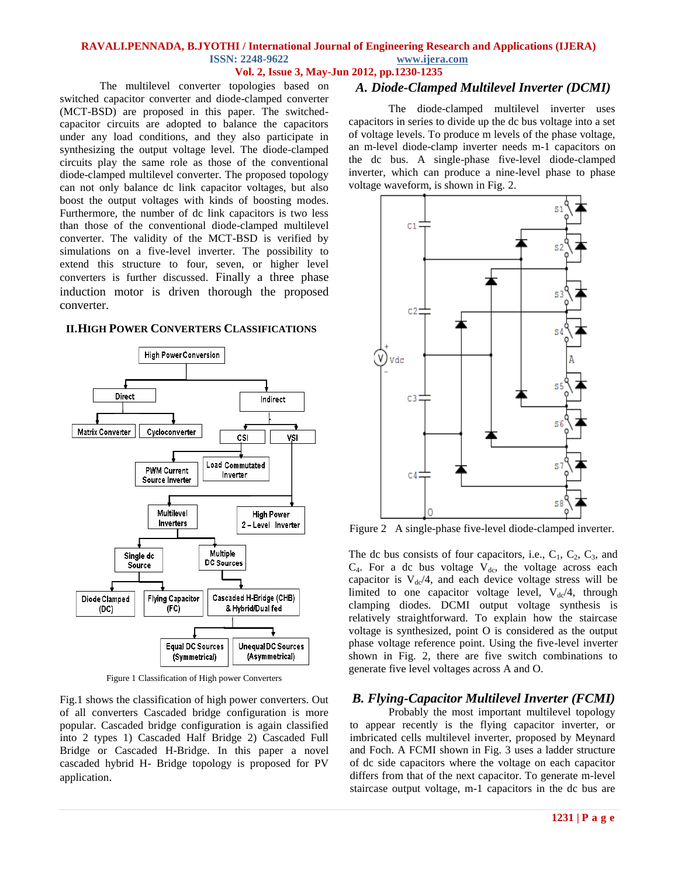#### **RAVALI.PENNADA, B.JYOTHI / International Journal of Engineering Research and Applications (IJERA) ISSN: 2248-9622 www.ijera.com Vol. 2, Issue 3, May-Jun 2012, pp.1230-1235**

The multilevel converter topologies based on switched capacitor converter and diode-clamped converter (MCT-BSD) are proposed in this paper. The switchedcapacitor circuits are adopted to balance the capacitors under any load conditions, and they also participate in synthesizing the output voltage level. The diode-clamped circuits play the same role as those of the conventional diode-clamped multilevel converter. The proposed topology can not only balance dc link capacitor voltages, but also boost the output voltages with kinds of boosting modes. Furthermore, the number of dc link capacitors is two less than those of the conventional diode-clamped multilevel converter. The validity of the MCT-BSD is verified by simulations on a five-level inverter. The possibility to extend this structure to four, seven, or higher level converters is further discussed. Finally a three phase induction motor is driven thorough the proposed converter.

## **II.HIGH POWER CONVERTERS CLASSIFICATIONS**



Figure 1 Classification of High power Converters

Fig.1 shows the classification of high power converters. Out of all converters Cascaded bridge configuration is more popular. Cascaded bridge configuration is again classified into 2 types 1) Cascaded Half Bridge 2) Cascaded Full Bridge or Cascaded H-Bridge. In this paper a novel cascaded hybrid H- Bridge topology is proposed for PV application.

# *A. Diode-Clamped Multilevel Inverter (DCMI)*

 The diode-clamped multilevel inverter uses capacitors in series to divide up the dc bus voltage into a set of voltage levels. To produce m levels of the phase voltage, an m-level diode-clamp inverter needs m-1 capacitors on the dc bus. A single-phase five-level diode-clamped inverter, which can produce a nine-level phase to phase voltage waveform, is shown in Fig. 2.



Figure 2 A single-phase five-level diode-clamped inverter.

The dc bus consists of four capacitors, i.e.,  $C_1$ ,  $C_2$ ,  $C_3$ , and  $C_4$ . For a dc bus voltage  $V_{dc}$ , the voltage across each capacitor is  $V_{dc}/4$ , and each device voltage stress will be limited to one capacitor voltage level,  $V_{dc}/4$ , through clamping diodes. DCMI output voltage synthesis is relatively straightforward. To explain how the staircase voltage is synthesized, point O is considered as the output phase voltage reference point. Using the five-level inverter shown in Fig. 2, there are five switch combinations to generate five level voltages across A and O.

## *B. Flying-Capacitor Multilevel Inverter (FCMI)*

Probably the most important multilevel topology to appear recently is the flying capacitor inverter, or imbricated cells multilevel inverter, proposed by Meynard and Foch. A FCMI shown in Fig. 3 uses a ladder structure of dc side capacitors where the voltage on each capacitor differs from that of the next capacitor. To generate m-level staircase output voltage, m-1 capacitors in the dc bus are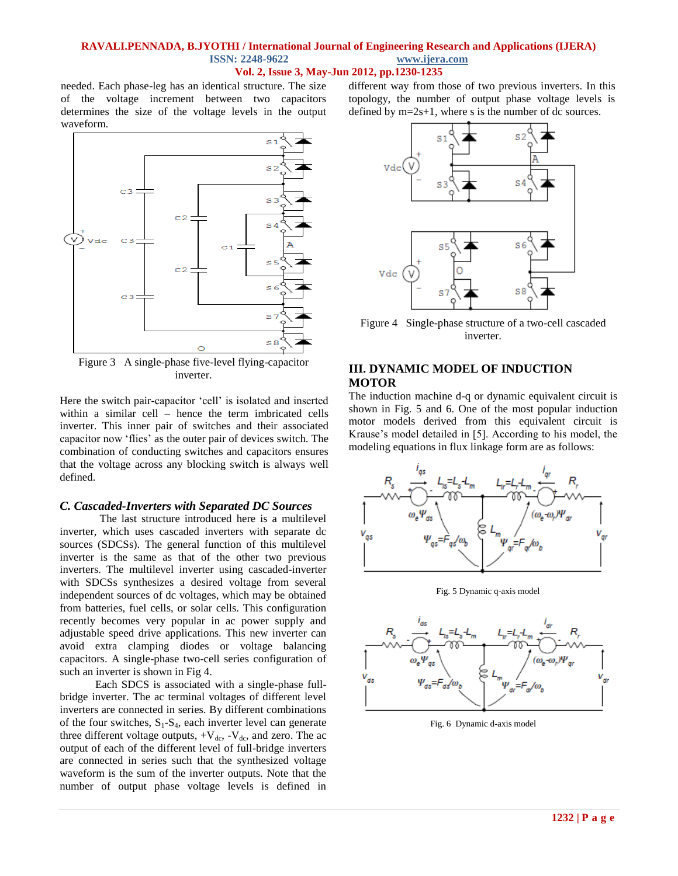#### **RAVALI.PENNADA, B.JYOTHI / International Journal of Engineering Research and Applications (IJERA) ISSN: 2248-9622 www.ijera.com Vol. 2, Issue 3, May-Jun 2012, pp.1230-1235**

needed. Each phase-leg has an identical structure. The size of the voltage increment between two capacitors determines the size of the voltage levels in the output waveform.



Figure 3 A single-phase five-level flying-capacitor inverter.

Here the switch pair-capacitor 'cell' is isolated and inserted within a similar cell – hence the term imbricated cells inverter. This inner pair of switches and their associated capacitor now ‗flies' as the outer pair of devices switch. The combination of conducting switches and capacitors ensures that the voltage across any blocking switch is always well defined.

#### *C. Cascaded-Inverters with Separated DC Sources*

The last structure introduced here is a multilevel inverter, which uses cascaded inverters with separate dc sources (SDCSs). The general function of this multilevel inverter is the same as that of the other two previous inverters. The multilevel inverter using cascaded-inverter with SDCSs synthesizes a desired voltage from several independent sources of dc voltages, which may be obtained from batteries, fuel cells, or solar cells. This configuration recently becomes very popular in ac power supply and adjustable speed drive applications. This new inverter can avoid extra clamping diodes or voltage balancing capacitors. A single-phase two-cell series configuration of such an inverter is shown in Fig 4.

Each SDCS is associated with a single-phase fullbridge inverter. The ac terminal voltages of different level inverters are connected in series. By different combinations of the four switches,  $S_1-S_4$ , each inverter level can generate three different voltage outputs,  $+V_{dc}$ ,  $-V_{dc}$ , and zero. The ac output of each of the different level of full-bridge inverters are connected in series such that the synthesized voltage waveform is the sum of the inverter outputs. Note that the number of output phase voltage levels is defined in different way from those of two previous inverters. In this topology, the number of output phase voltage levels is defined by  $m=2s+1$ , where s is the number of dc sources.



Figure 4 Single-phase structure of a two-cell cascaded inverter.

### **III. DYNAMIC MODEL OF INDUCTION MOTOR**

The induction machine d-q or dynamic equivalent circuit is shown in Fig. 5 and 6. One of the most popular induction motor models derived from this equivalent circuit is Krause's model detailed in [5]. According to his model, the modeling equations in flux linkage form are as follows:



Fig. 5 Dynamic q-axis model



Fig. 6 Dynamic d-axis model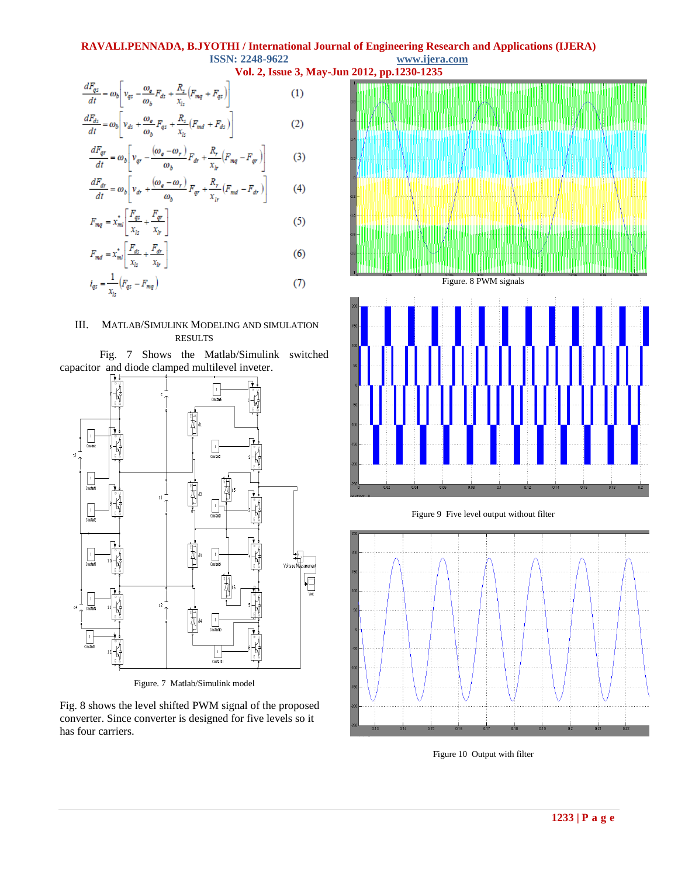#### **RAVALI.PENNADA, B.JYOTHI / International Journal of Engineering Research and Applications (IJERA) ISSN: 2248-9622 www.ijera.com**

**Vol. 2, Issue 3, May-Jun 2012, pp.1230-1235**

$$
\frac{dF_{qz}}{dt} = \omega_b \left[ v_{qz} - \frac{\omega_e}{\omega_b} F_{dz} + \frac{R_z}{x_{ls}} \left( F_{mq} + F_{qz} \right) \right]
$$
\n
$$
dF_{dr} \qquad \begin{bmatrix} \omega_e & R_z & -R_z \\ \omega_e & R_z & -R_z \end{bmatrix}
$$
\n(1)

$$
\frac{dA}{dt} = \omega_b \left[ v_{ds} + \frac{\omega_e}{\omega_b} F_{qz} + \frac{v_{z}}{x_{ls}} (F_{md} + F_{ds}) \right]
$$
 (2)

$$
\frac{dF_{qr}}{dt} = \omega_b \left[ v_{qr} - \frac{(\omega_e - \omega_r)}{\omega_b} F_{dr} + \frac{K_r}{x_{ir}} (F_{mq} - F_{qr}) \right]
$$
(3)

$$
\frac{dF_{dr}}{dt} = \omega_b \left[ v_{dr} + \frac{(\omega_e - \omega_r)}{\omega_b} F_{qr} + \frac{\kappa_r}{x_{ir}} (F_{md} - F_{dr}) \right]
$$
(4)

$$
F_{mq} = x_{ml}^* \left[ \frac{r_{qz}}{x_{lz}} + \frac{r_{qr}}{x_{lr}} \right]
$$
 (5)

$$
F_{md} = x_{ml}^* \left[ \frac{F_{ds}}{x_{ls}} + \frac{F_{dr}}{x_{lr}} \right]
$$
 (6)

$$
i_{q_5} = \frac{1}{x_{l_5}} (F_{q_5} - F_{mq})
$$
 (7)

## III. MATLAB/SIMULINK MODELING AND SIMULATION RESULTS





Figure. 7 Matlab/Simulink model

Fig. 8 shows the level shifted PWM signal of the proposed converter. Since converter is designed for five levels so it has four carriers.



Figure. 8 PWM signals



Figure 9 Five level output without filter



Figure 10 Output with filter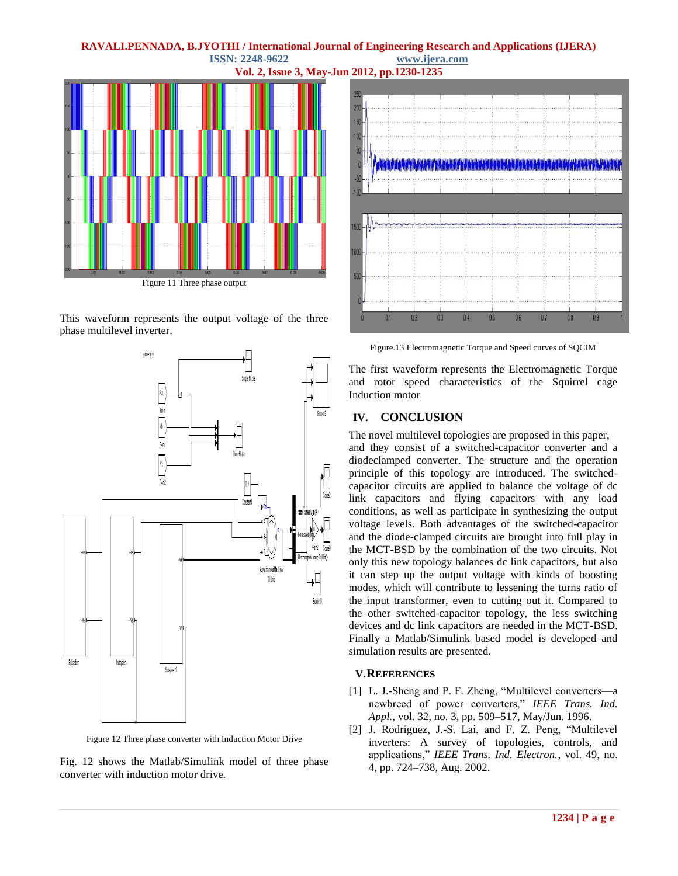## **RAVALI.PENNADA, B.JYOTHI / International Journal of Engineering Research and Applications (IJERA) ISSN: 2248-9622 www.ijera.com**



This waveform represents the output voltage of the three phase multilevel inverter.



Figure 12 Three phase converter with Induction Motor Drive

Fig. 12 shows the Matlab/Simulink model of three phase converter with induction motor drive.



Figure.13 Electromagnetic Torque and Speed curves of SQCIM

The first waveform represents the Electromagnetic Torque and rotor speed characteristics of the Squirrel cage Induction motor

# **IV. CONCLUSION**

The novel multilevel topologies are proposed in this paper, and they consist of a switched-capacitor converter and a diodeclamped converter. The structure and the operation principle of this topology are introduced. The switchedcapacitor circuits are applied to balance the voltage of dc link capacitors and flying capacitors with any load conditions, as well as participate in synthesizing the output voltage levels. Both advantages of the switched-capacitor and the diode-clamped circuits are brought into full play in the MCT-BSD by the combination of the two circuits. Not only this new topology balances dc link capacitors, but also it can step up the output voltage with kinds of boosting modes, which will contribute to lessening the turns ratio of the input transformer, even to cutting out it. Compared to the other switched-capacitor topology, the less switching devices and dc link capacitors are needed in the MCT-BSD. Finally a Matlab/Simulink based model is developed and simulation results are presented.

# **V.REFERENCES**

- [1] L. J.-Sheng and P. F. Zheng, "Multilevel converters—a newbreed of power converters," IEEE Trans. Ind. *Appl.*, vol. 32, no. 3, pp. 509–517, May/Jun. 1996.
- [2] J. Rodriguez, J.-S. Lai, and F. Z. Peng, "Multilevel inverters: A survey of topologies, controls, and applications," *IEEE Trans. Ind. Electron.*, vol. 49, no. 4, pp. 724–738, Aug. 2002.